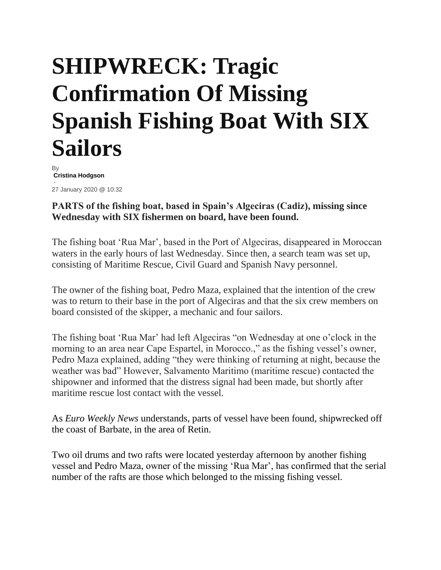## **SHIPWRECK: Tragic Confirmation Of Missing Spanish Fishing Boat With SIX Sailors**

By **[Cristina Hodgson](https://www.euroweeklynews.com/author/cristina-ewn/)** - 27 January 2020 @ 10:32

## **PARTS of the fishing boat, based in Spain's Algeciras (Cadiz), missing since Wednesday with SIX fishermen on board, have been found.**

The fishing boat 'Rua Mar', based in the Port of Algeciras, disappeared in Moroccan waters in the early hours of last Wednesday. Since then, a search team was set up, consisting of Maritime Rescue, Civil Guard and Spanish Navy personnel.

The owner of the fishing boat, Pedro Maza, explained that the intention of the crew was to return to their base in the port of Algeciras and that the six crew members on board consisted of the skipper, a mechanic and four sailors.

The fishing boat 'Rua Mar' had left Algeciras "on Wednesday at one o'clock in the morning to an area near Cape Espartel, in Morocco.," as the fishing vessel's owner, Pedro Maza explained, adding "they were thinking of returning at night, because the weather was bad" However, Salvamento Maritimo (maritime rescue) contacted the shipowner and informed that the distress signal had been made, but shortly after maritime rescue lost contact with the vessel.

As *Euro Weekly News* understands, parts of vessel have been found, shipwrecked off the coast of Barbate, in the area of Retin.

Two oil drums and two rafts were located yesterday afternoon by another fishing vessel and Pedro Maza, owner of the missing 'Rua Mar', has confirmed that the serial number of the rafts are those which belonged to the missing fishing vessel.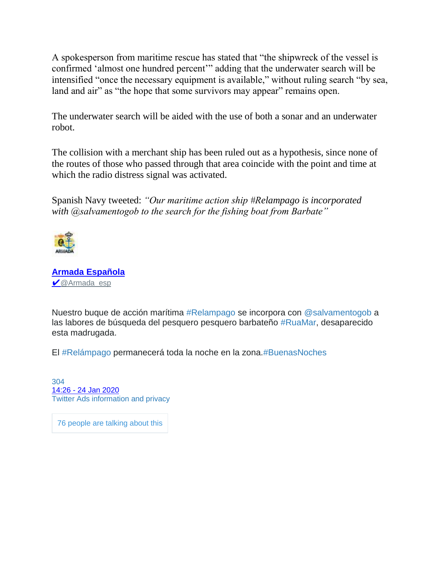A spokesperson from maritime rescue has stated that "the shipwreck of the vessel is confirmed 'almost one hundred percent'" adding that the underwater search will be intensified "once the necessary equipment is available," without ruling search "by sea, land and air" as "the hope that some survivors may appear" remains open.

The underwater search will be aided with the use of both a sonar and an underwater robot.

The collision with a merchant ship has been ruled out as a hypothesis, since none of the routes of those who passed through that area coincide with the point and time at which the radio distress signal was activated.

Spanish Navy tweeted: *"Our maritime action ship #Relampago is incorporated with @salvamentogob to the search for the fishing boat from Barbate"*



**[Armada Española](https://twitter.com/Armada_esp)** ✔ [@Armada\\_esp](https://twitter.com/Armada_esp)

Nuestro buque de acción marítima [#Relampago](https://twitter.com/hashtag/Relampago?src=hash) se incorpora con [@salvamentogob](https://twitter.com/salvamentogob) a las labores de búsqueda del pesquero pesquero barbateño [#RuaMar,](https://twitter.com/hashtag/RuaMar?src=hash) desaparecido esta madrugada.

El [#Relámpago](https://twitter.com/hashtag/Rel%C3%A1mpago?src=hash) permanecerá toda la noche en la zona[.#BuenasNoches](https://twitter.com/hashtag/BuenasNoches?src=hash)

[304](https://twitter.com/intent/like?tweet_id=1220805188417703936) 14:26 - [24 Jan 2020](https://twitter.com/Armada_esp/status/1220805188417703936) [Twitter Ads information and privacy](https://support.twitter.com/articles/20175256)

76 [people](https://twitter.com/Armada_esp/status/1220805188417703936) are talking about this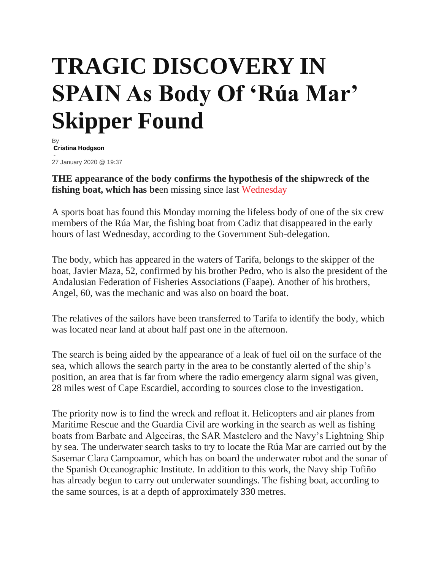## **TRAGIC DISCOVERY IN SPAIN As Body Of 'Rúa Mar' Skipper Found**

By **[Cristina Hodgson](https://www.euroweeklynews.com/author/cristina-ewn/)** - 27 January 2020 @ 19:37

**THE appearance of the body confirms the hypothesis of the shipwreck of the fishing boat, which has be**en missing since last [Wednesday](https://www.euroweeklynews.com/2020/01/27/shipwreck-tragic-confirmation-of-missing-spanish-fishing-boat-with-six-sailors-sunken/)

A sports boat has found this Monday morning the lifeless body of one of the six crew members of the Rúa Mar, the fishing boat from Cadiz that disappeared in the early hours of last Wednesday, according to the Government Sub-delegation.

The body, which has appeared in the waters of Tarifa, belongs to the skipper of the boat, Javier Maza, 52, confirmed by his brother Pedro, who is also the president of the Andalusian Federation of Fisheries Associations (Faape). Another of his brothers, Angel, 60, was the mechanic and was also on board the boat.

The relatives of the sailors have been transferred to Tarifa to identify the body, which was located near land at about half past one in the afternoon.

The search is being aided by the appearance of a leak of fuel oil on the surface of the sea, which allows the search party in the area to be constantly alerted of the ship's position, an area that is far from where the radio emergency alarm signal was given, 28 miles west of Cape Escardiel, according to sources close to the investigation.

The priority now is to find the wreck and refloat it. Helicopters and air planes from Maritime Rescue and the Guardia Civil are working in the search as well as fishing boats from Barbate and Algeciras, the SAR Mastelero and the Navy's Lightning Ship by sea. The underwater search tasks to try to locate the Rúa Mar are carried out by the Sasemar Clara Campoamor, which has on board the underwater robot and the sonar of the Spanish Oceanographic Institute. In addition to this work, the Navy ship Tofiño has already begun to carry out underwater soundings. The fishing boat, according to the same sources, is at a depth of approximately 330 metres.